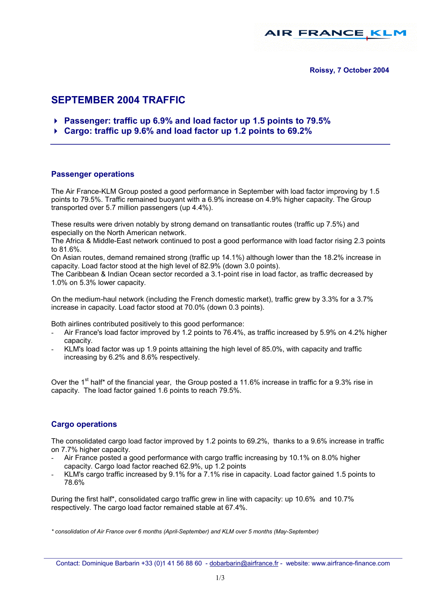

**Roissy, 7 October 2004** 

# **SEPTEMBER 2004 TRAFFIC**

- -**Passenger: traffic up 6.9% and load factor up 1.5 points to 79.5%**
- -**Cargo: traffic up 9.6% and load factor up 1.2 points to 69.2%**

#### **Passenger operations**

The Air France-KLM Group posted a good performance in September with load factor improving by 1.5 points to 79.5%. Traffic remained buoyant with a 6.9% increase on 4.9% higher capacity. The Group transported over 5.7 million passengers (up 4.4%).

These results were driven notably by strong demand on transatlantic routes (traffic up 7.5%) and especially on the North American network.

The Africa & Middle-East network continued to post a good performance with load factor rising 2.3 points to 81.6%.

On Asian routes, demand remained strong (traffic up 14.1%) although lower than the 18.2% increase in capacity. Load factor stood at the high level of 82.9% (down 3.0 points).

The Caribbean & Indian Ocean sector recorded a 3.1-point rise in load factor, as traffic decreased by 1.0% on 5.3% lower capacity.

On the medium-haul network (including the French domestic market), traffic grew by 3.3% for a 3.7% increase in capacity. Load factor stood at 70.0% (down 0.3 points).

Both airlines contributed positively to this good performance:

- Air France's load factor improved by 1.2 points to 76.4%, as traffic increased by 5.9% on 4.2% higher capacity.
- KLM's load factor was up 1.9 points attaining the high level of 85.0%, with capacity and traffic increasing by 6.2% and 8.6% respectively.

Over the 1<sup>st</sup> half\* of the financial year, the Group posted a 11.6% increase in traffic for a 9.3% rise in capacity. The load factor gained 1.6 points to reach 79.5%.

### **Cargo operations**

The consolidated cargo load factor improved by 1.2 points to 69.2%, thanks to a 9.6% increase in traffic on 7.7% higher capacity.

- Air France posted a good performance with cargo traffic increasing by 10.1% on 8.0% higher capacity. Cargo load factor reached 62.9%, up 1.2 points
- KLM's cargo traffic increased by 9.1% for a 7.1% rise in capacity. Load factor gained 1.5 points to 78.6%

During the first half\*, consolidated cargo traffic grew in line with capacity: up 10.6% and 10.7% respectively. The cargo load factor remained stable at 67.4%.

*\* consolidation of Air France over 6 months (April-September) and KLM over 5 months (May-September)*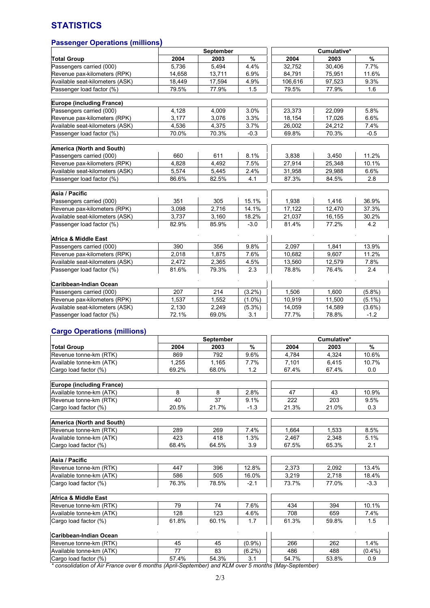## **STATISTICS**

# **Passenger Operations (millions)**

|                                  | <b>September</b> |        |           | Cumulative* |        |           |  |
|----------------------------------|------------------|--------|-----------|-------------|--------|-----------|--|
| <b>Total Group</b>               | 2004             | 2003   | $\%$      | 2004        | 2003   | $\%$      |  |
| Passengers carried (000)         | 5.736            | 5.494  | 4.4%      | 32.752      | 30,406 | 7.7%      |  |
| Revenue pax-kilometers (RPK)     | 14,658           | 13,711 | 6.9%      | 84,791      | 75,951 | 11.6%     |  |
| Available seat-kilometers (ASK)  | 18,449           | 17,594 | 4.9%      | 106,616     | 97.523 | 9.3%      |  |
| Passenger load factor (%)        | 79.5%            | 77.9%  | 1.5       | 79.5%       | 77.9%  | 1.6       |  |
| <b>Europe (including France)</b> |                  |        |           |             |        |           |  |
| Passengers carried (000)         | 4,128            | 4,009  | 3.0%      | 23,373      | 22,099 | 5.8%      |  |
| Revenue pax-kilometers (RPK)     | 3,177            | 3,076  | 3.3%      | 18,154      | 17,026 | 6.6%      |  |
| Available seat-kilometers (ASK)  | 4,536            | 4,375  | $3.7\%$   | 26,002      | 24,212 | 7.4%      |  |
| Passenger load factor (%)        | 70.0%            | 70.3%  | $-0.3$    | 69.8%       | 70.3%  | $-0.5$    |  |
| <b>America (North and South)</b> |                  |        |           |             |        |           |  |
| Passengers carried (000)         | 660              | 611    | 8.1%      | 3.838       | 3.450  | 11.2%     |  |
| Revenue pax-kilometers (RPK)     | 4,828            | 4,492  | 7.5%      | 27,914      | 25,348 | 10.1%     |  |
| Available seat-kilometers (ASK)  | 5,574            | 5,445  | 2.4%      | 31,958      | 29,988 | 6.6%      |  |
| Passenger load factor (%)        | 86.6%            | 82.5%  | 4.1       | 87.3%       | 84.5%  | 2.8       |  |
|                                  |                  |        |           |             |        |           |  |
| Asia / Pacific                   |                  |        |           |             |        |           |  |
| Passengers carried (000)         | 351              | 305    | 15.1%     | 1,938       | 1,416  | 36.9%     |  |
| Revenue pax-kilometers (RPK)     | 3,098            | 2,716  | 14.1%     | 17,122      | 12,470 | 37.3%     |  |
| Available seat-kilometers (ASK)  | 3,737            | 3,160  | 18.2%     | 21,037      | 16,155 | 30.2%     |  |
| Passenger load factor (%)        | 82.9%            | 85.9%  | $-3.0$    | 81.4%       | 77.2%  | 4.2       |  |
| Africa & Middle East             |                  |        |           |             |        |           |  |
| Passengers carried (000)         | 390              | 356    | 9.8%      | 2,097       | 1,841  | 13.9%     |  |
| Revenue pax-kilometers (RPK)     | 2,018            | 1,875  | 7.6%      | 10,682      | 9,607  | 11.2%     |  |
| Available seat-kilometers (ASK)  | 2,472            | 2,365  | 4.5%      | 13,560      | 12,579 | 7.8%      |  |
| Passenger load factor (%)        | 81.6%            | 79.3%  | 2.3       | 78.8%       | 76.4%  | 2.4       |  |
| Caribbean-Indian Ocean           |                  |        |           |             |        |           |  |
| Passengers carried (000)         | 207              | 214    | $(3.2\%)$ | 1,506       | 1.600  | $(5.8\%)$ |  |
| Revenue pax-kilometers (RPK)     | 1.537            | 1.552  | $(1.0\%)$ | 10.919      | 11.500 | $(5.1\%)$ |  |
| Available seat-kilometers (ASK)  | 2,130            | 2,249  | $(5.3\%)$ | 14,059      | 14,589 | $(3.6\%)$ |  |
| Passenger load factor (%)        | 72.1%            | 69.0%  | 3.1       | 77.7%       | 78.8%  | $-1.2$    |  |
|                                  |                  |        |           |             |        |           |  |

#### **Cargo Operations (millions)**

| $\frac{1}{2}$ $\frac{1}{2}$ $\frac{1}{2}$ $\frac{1}{2}$ $\frac{1}{2}$ $\frac{1}{2}$ $\frac{1}{2}$ $\frac{1}{2}$ $\frac{1}{2}$ $\frac{1}{2}$ $\frac{1}{2}$ $\frac{1}{2}$ $\frac{1}{2}$ $\frac{1}{2}$ $\frac{1}{2}$ $\frac{1}{2}$ $\frac{1}{2}$ $\frac{1}{2}$ $\frac{1}{2}$ $\frac{1}{2}$ $\frac{1}{2}$ $\frac{1}{2}$ |       | September |           | Cumulative* |       |       |
|---------------------------------------------------------------------------------------------------------------------------------------------------------------------------------------------------------------------------------------------------------------------------------------------------------------------|-------|-----------|-----------|-------------|-------|-------|
| Total Group                                                                                                                                                                                                                                                                                                         | 2004  | 2003      | %         |             | 2004  | 2003  |
| Revenue tonne-km (RTK)                                                                                                                                                                                                                                                                                              | 869   | 792       | 9.6%      |             | 4.784 | 4,324 |
| Available tonne-km (ATK)                                                                                                                                                                                                                                                                                            | 1,255 | 1,165     | 7.7%      |             | 7,101 | 6.415 |
| Cargo load factor (%)                                                                                                                                                                                                                                                                                               | 69.2% | 68.0%     | 1.2       |             | 67.4% | 67.4% |
|                                                                                                                                                                                                                                                                                                                     |       |           |           |             |       |       |
| <b>Europe (including France)</b>                                                                                                                                                                                                                                                                                    |       |           |           |             |       |       |
| Available tonne-km (ATK)                                                                                                                                                                                                                                                                                            | 8     | 8         | 2.8%      |             | 47    | 43    |
| Revenue tonne-km (RTK)                                                                                                                                                                                                                                                                                              | 40    | 37        | 9.1%      |             | 222   | 203   |
| Cargo load factor (%)                                                                                                                                                                                                                                                                                               | 20.5% | 21.7%     | $-1.3$    |             | 21.3% | 21.0% |
|                                                                                                                                                                                                                                                                                                                     |       |           |           |             |       |       |
| America (North and South)                                                                                                                                                                                                                                                                                           |       |           |           |             |       |       |
| Revenue tonne-km (RTK)                                                                                                                                                                                                                                                                                              | 289   | 269       | 7.4%      |             | 1.664 | 1.533 |
| Available tonne-km (ATK)                                                                                                                                                                                                                                                                                            | 423   | 418       | 1.3%      |             | 2,467 | 2.348 |
| Cargo load factor (%)                                                                                                                                                                                                                                                                                               | 68.4% | 64.5%     | 3.9       |             | 67.5% | 65.3% |
|                                                                                                                                                                                                                                                                                                                     |       |           |           |             |       |       |
| Asia / Pacific                                                                                                                                                                                                                                                                                                      |       |           |           |             |       |       |
| Revenue tonne-km (RTK)                                                                                                                                                                                                                                                                                              | 447   | 396       | 12.8%     |             | 2.373 | 2.092 |
| Available tonne-km (ATK)                                                                                                                                                                                                                                                                                            | 586   | 505       | 16.0%     |             | 3,219 | 2,718 |
| Cargo load factor (%)                                                                                                                                                                                                                                                                                               | 76.3% | 78.5%     | $-2.1$    |             | 73.7% | 77.0% |
|                                                                                                                                                                                                                                                                                                                     |       |           |           |             |       |       |
| Africa & Middle East                                                                                                                                                                                                                                                                                                |       |           |           |             |       |       |
| Revenue tonne-km (RTK)                                                                                                                                                                                                                                                                                              | 79    | 74        | 7.6%      |             | 434   | 394   |
| Available tonne-km (ATK)                                                                                                                                                                                                                                                                                            | 128   | 123       | 4.6%      |             | 708   | 659   |
| Cargo load factor (%)                                                                                                                                                                                                                                                                                               | 61.8% | 60.1%     | 1.7       |             | 61.3% | 59.8% |
|                                                                                                                                                                                                                                                                                                                     |       |           |           |             |       |       |
| Caribbean-Indian Ocean                                                                                                                                                                                                                                                                                              |       |           |           |             |       |       |
| Revenue tonne-km (RTK)                                                                                                                                                                                                                                                                                              | 45    | 45        | $(0.9\%)$ |             | 266   | 262   |
| Available tonne-km (ATK)                                                                                                                                                                                                                                                                                            | 77    | 83        | $(6.2\%)$ |             | 486   | 488   |
| Cargo load factor (%)                                                                                                                                                                                                                                                                                               | 57.4% | 54.3%     | 3.1       |             | 54.7% | 53.8% |

*\* consolidation of Air France over 6 months (April-September) and KLM over 5 months (May-September)*